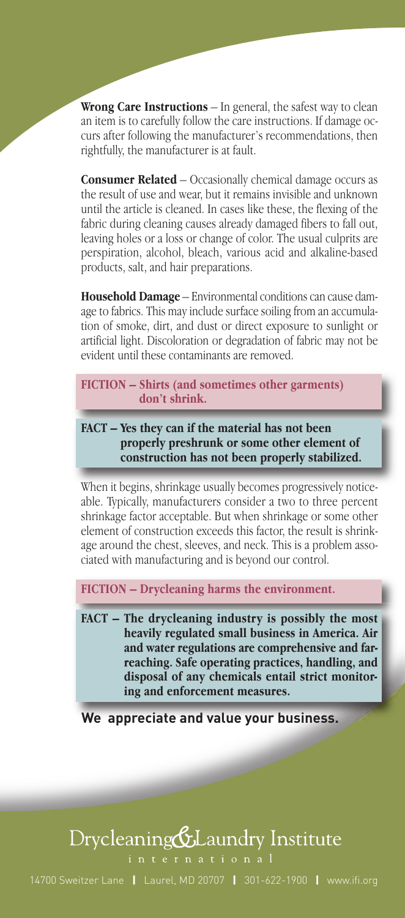**Wrong Care Instructions** – In general, the safest way to clean an item is to carefully follow the care instructions. If damage occurs after following the manufacturer's recommendations, then rightfully, the manufacturer is at fault.

**Consumer Related** – Occasionally chemical damage occurs as the result of use and wear, but it remains invisible and unknown until the article is cleaned. In cases like these, the flexing of the fabric during cleaning causes already damaged fibers to fall out, leaving holes or a loss or change of color. The usual culprits are perspiration, alcohol, bleach, various acid and alkaline-based products, salt, and hair preparations.

**Household Damage** – Environmental conditions can cause damage to fabrics. This may include surface soiling from an accumulation of smoke, dirt, and dust or direct exposure to sunlight or artificial light. Discoloration or degradation of fabric may not be evident until these contaminants are removed.

**FICTION – Shirts (and sometimes other garments) don't shrink.**

**FACT – Yes they can if the material has not been properly preshrunk or some other element of construction has not been properly stabilized.**

When it begins, shrinkage usually becomes progressively noticeable. Typically, manufacturers consider a two to three percent shrinkage factor acceptable. But when shrinkage or some other element of construction exceeds this factor, the result is shrinkage around the chest, sleeves, and neck. This is a problem associated with manufacturing and is beyond our control.

**FICTION – Drycleaning harms the environment.**

**FACT – The drycleaning industry is possibly the most heavily regulated small business in America. Air and water regulations are comprehensive and farreaching. Safe operating practices, handling, and disposal of any chemicals entail strict monitoring and enforcement measures.**

**We appreciate and value your business.**

### Drycleaning & Laundry Institute

14700 Sweitzer Lane **|** Laurel, MD 20707 **|** 301-622-1900 **|** www.ifi.org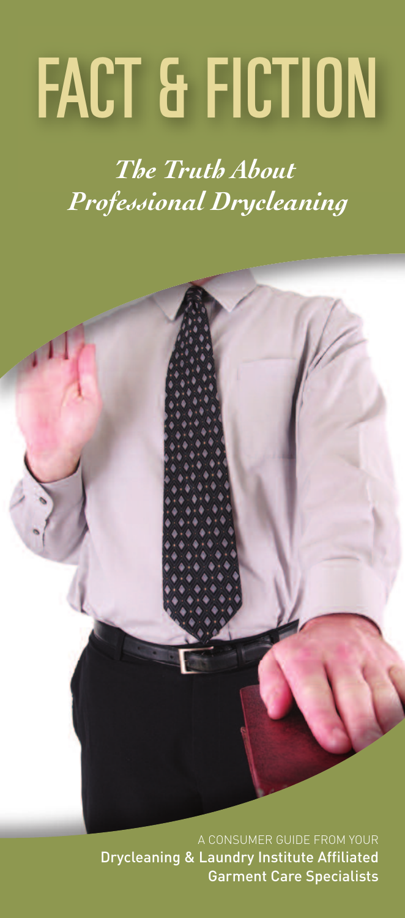# *FACT & FICTION*

*The Truth About Professional Drycleaning*

A CONSUMER GUIDE FROM YOUR Drycleaning & Laundry Institute Affiliated Garment Care Specialists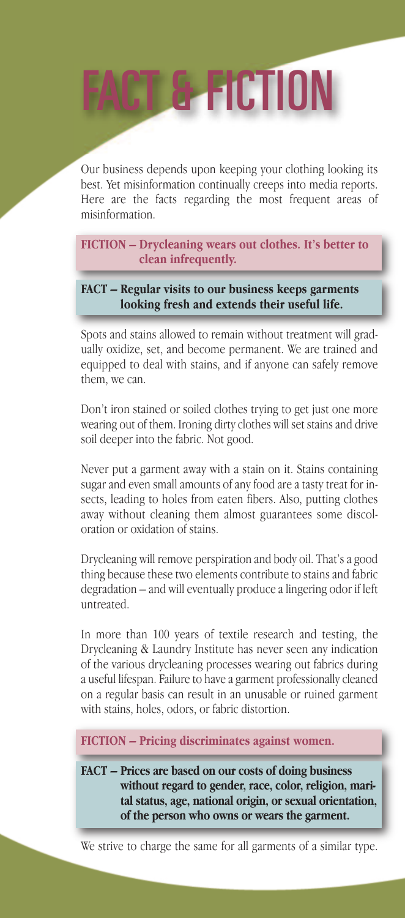## *FACT&FICTION*

Our business depends upon keeping your clothing looking its best. Yet misinformation continually creeps into media reports. Here are the facts regarding the most frequent areas of misinformation.

**FICTION – Drycleaning wears out clothes. It's better to clean infrequently.**

**FACT – Regular visits to our business keeps garments looking fresh and extends their useful life.**

Spots and stains allowed to remain without treatment will gradually oxidize, set, and become permanent. We are trained and equipped to deal with stains, and if anyone can safely remove them, we can.

Don't iron stained or soiled clothes trying to get just one more wearing out of them. Ironing dirty clothes will set stains and drive soil deeper into the fabric. Not good.

Never put a garment away with a stain on it. Stains containing sugar and even small amounts of any food are a tasty treat for insects, leading to holes from eaten fibers. Also, putting clothes away without cleaning them almost guarantees some discoloration or oxidation of stains.

Drycleaning will remove perspiration and body oil. That's a good thing because these two elements contribute to stains and fabric degradation – and will eventually produce a lingering odor if left untreated.

In more than 100 years of textile research and testing, the Drycleaning & Laundry Institute has never seen any indication of the various drycleaning processes wearing out fabrics during a useful lifespan. Failure to have a garment professionally cleaned on a regular basis can result in an unusable or ruined garment with stains, holes, odors, or fabric distortion.

**FICTION – Pricing discriminates against women.**

**FACT – Prices are based on our costs of doing business without regard to gender, race, color, religion, marital status, age, national origin, or sexual orientation, of the person who owns or wears the garment.**

We strive to charge the same for all garments of a similar type.